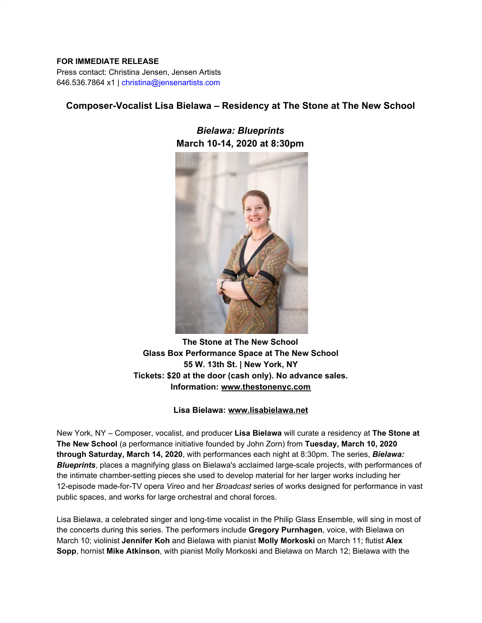#### **FOR IMMEDIATE RELEASE**

Press contact: Christina Jensen, Jensen Artists 646.536.7864 x1 | christina@jensenartists.com

# **Composer-Vocalist Lisa Bielawa – Residency at The Stone at The New School**

*Bielawa: Blueprints* **March 10-14, 2020 at 8:30pm**



**The Stone at The New School Glass Box Performance Space at The New School 55 W. 13th St. | New York, NY Tickets: \$20 at the door (cash only). No advance sales. Information: [www.thestonenyc.com](https://u7061146.ct.sendgrid.net/ls/click?upn=TeZUXWpUv-2B6TCY38pVLo9qay4XrN0Erk8qOxSgdsorBV61cFwLC-2FjYWNURMQ4qXYhpKT_IpA7hxueGg5XIsiAxedwPJ6X7KkvJosY9CQSXImWzsGT2TMlME98D1uoJFSQ2tXLntiI-2BJ2MeBovEtABaBEmsOOFc-2BVBaLMHWENAhPqWPGx54s4eovDyC0s-2F4M0ZQUBUpq3xk6KSmu39SYMcmMhYKx4MDOc3fCGsNylnbf88zp-2B696N2Ikryc48r-2F0i5xYPBAyTr-2FTYr6LEA777hX0LCr0dqUIiFhzEAw7fQaxYbcsZYub6XZkZ9tTLg7hO8aPFdr1zLQuLnf9LbsGGeOooiFLHy6DgzsjifzPPZyLcFC9UMoMXVqYhXicoB2nnGhu4xNZW53KD3TfipgvVRLhTU2OuFP2GvytMr1-2FUxoThVAsE-3D)**

#### **Lisa Bielawa: [www.lisabielawa.net](https://u7061146.ct.sendgrid.net/ls/click?upn=TeZUXWpUv-2B6TCY38pVLo9uw66zbit2TwS-2BImIrmTKdzSo3XzH-2BeplmlUedvw5YMjCLuW_IpA7hxueGg5XIsiAxedwPJ6X7KkvJosY9CQSXImWzsGT2TMlME98D1uoJFSQ2tXLntiI-2BJ2MeBovEtABaBEmsOOFc-2BVBaLMHWENAhPqWPGx54s4eovDyC0s-2F4M0ZQUBUpq3xk6KSmu39SYMcmMhYKx4MDOc3fCGsNylnbf88zp-2B696N2Ikryc48r-2F0i5xYPBAyTr-2FTYr6LEA777hX0LCrwOwALcXork-2BusIvBLWAQqGd3Qmq0VXiBIcDWCQUtshJMDptC0qJWUD8LmdDCqMNTg3ACwLQAQEDxnKcBh37lwh8b3UgZS-2Fii2M7Rl7GCDrbCYIKq9ldhKQuuZWZGSDCpnpiEpSQ-2F2NNAr25Ughjo3I-3D)**

New York, NY – Composer, vocalist, and producer **Lisa Bielawa** will curate a residency at **The Stone at The New School** (a performance initiative founded by John Zorn) from **Tuesday, March 10, 2020 through Saturday, March 14, 2020**, with performances each night at 8:30pm. The series, *Bielawa: Blueprints*, places a magnifying glass on Bielawa's acclaimed large-scale projects, with performances of the intimate chamber-setting pieces she used to develop material for her larger works including her 12-episode made-for-TV opera *Vireo* and her *Broadcast* series of works designed for performance in vast public spaces, and works for large orchestral and choral forces.

Lisa Bielawa, a celebrated singer and long-time vocalist in the Philip Glass Ensemble, will sing in most of the concerts during this series. The performers include **Gregory Purnhagen**, voice, with Bielawa on March 10; violinist **Jennifer Koh** and Bielawa with pianist **Molly Morkoski** on March 11; flutist **Alex Sopp**, hornist **Mike Atkinson**, with pianist Molly Morkoski and Bielawa on March 12; Bielawa with the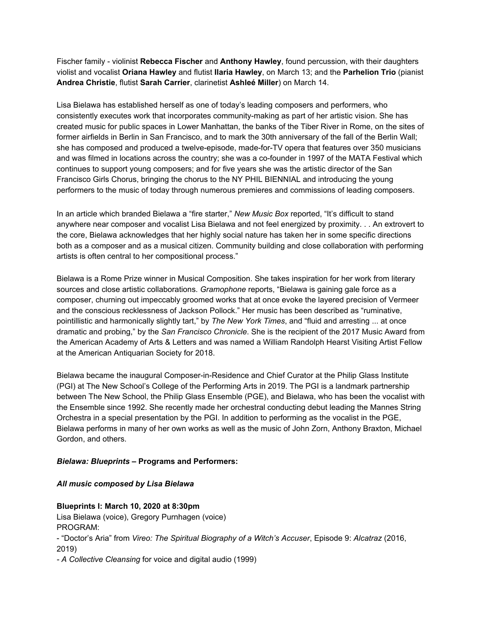Fischer family - violinist **Rebecca Fischer** and **Anthony Hawley**, found percussion, with their daughters violist and vocalist **Oriana Hawley** and flutist **Ilaria Hawley**, on March 13; and the **Parhelion Trio** (pianist **Andrea Christie**, flutist **Sarah Carrier**, clarinetist **Ashleé Miller**) on March 14.

Lisa Bielawa has established herself as one of today's leading composers and performers, who consistently executes work that incorporates community-making as part of her artistic vision. She has created music for public spaces in Lower Manhattan, the banks of the Tiber River in Rome, on the sites of former airfields in Berlin in San Francisco, and to mark the 30th anniversary of the fall of the Berlin Wall; she has composed and produced a twelve-episode, made-for-TV opera that features over 350 musicians and was filmed in locations across the country; she was a co-founder in 1997 of the MATA Festival which continues to support young composers; and for five years she was the artistic director of the San Francisco Girls Chorus, bringing the chorus to the NY PHIL BIENNIAL and introducing the young performers to the music of today through numerous premieres and commissions of leading composers.

In an article which branded Bielawa a "fire starter," *New Music Box* reported, "It's difficult to stand anywhere near composer and vocalist Lisa Bielawa and not feel energized by proximity. . . An extrovert to the core, Bielawa acknowledges that her highly social nature has taken her in some specific directions both as a composer and as a musical citizen. Community building and close collaboration with performing artists is often central to her compositional process."

Bielawa is a Rome Prize winner in Musical Composition. She takes inspiration for her work from literary sources and close artistic collaborations. *Gramophone* reports, "Bielawa is gaining gale force as a composer, churning out impeccably groomed works that at once evoke the layered precision of Vermeer and the conscious recklessness of Jackson Pollock." Her music has been described as "ruminative, pointillistic and harmonically slightly tart," by *The New York Times*, and "fluid and arresting ... at once dramatic and probing," by the *San Francisco Chronicle*. She is the recipient of the 2017 Music Award from the American Academy of Arts & Letters and was named a William Randolph Hearst Visiting Artist Fellow at the American Antiquarian Society for 2018.

Bielawa became the inaugural Composer-in-Residence and Chief Curator at the Philip Glass Institute (PGI) at The New School's College of the Performing Arts in 2019. The PGI is a landmark partnership between The New School, the Philip Glass Ensemble (PGE), and Bielawa, who has been the vocalist with the Ensemble since 1992. She recently made her orchestral conducting debut leading the Mannes String Orchestra in a special presentation by the PGI. In addition to performing as the vocalist in the PGE, Bielawa performs in many of her own works as well as the music of John Zorn, Anthony Braxton, Michael Gordon, and others.

#### *Bielawa: Blueprints* **– Programs and Performers:**

#### *All music composed by Lisa Bielawa*

#### **Blueprints I: March 10, 2020 at 8:30pm**

Lisa Bielawa (voice), Gregory Purnhagen (voice) PROGRAM: - "Doctor's Aria" from *Vireo: The Spiritual Biography of a Witch's Accuser*, Episode 9: *Alcatraz* (2016, 2019)

*- A Collective Cleansing* for voice and digital audio (1999)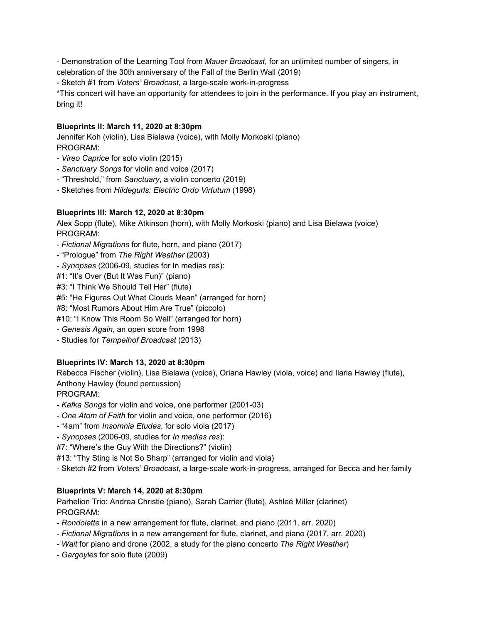- Demonstration of the Learning Tool from *Mauer Broadcast*, for an unlimited number of singers, in celebration of the 30th anniversary of the Fall of the Berlin Wall (2019)

- Sketch #1 from *Voters' Broadcast*, a large-scale work-in-progress

\*This concert will have an opportunity for attendees to join in the performance. If you play an instrument, bring it!

### **Blueprints II: March 11, 2020 at 8:30pm**

Jennifer Koh (violin), Lisa Bielawa (voice), with Molly Morkoski (piano) PROGRAM:

- *Vireo Caprice* for solo violin (2015)
- *Sanctuary Songs* for violin and voice (2017)
- "Threshold," from *Sanctuary*, a violin concerto (2019)
- Sketches from *Hildegurls: Electric Ordo Virtutum* (1998)

### **Blueprints III: March 12, 2020 at 8:30pm**

Alex Sopp (flute), Mike Atkinson (horn), with Molly Morkoski (piano) and Lisa Bielawa (voice) PROGRAM:

- *Fictional Migrations* for flute, horn, and piano (2017)
- "Prologue" from *The Right Weather* (2003)
- *Synopses* (2006-09, studies for In medias res):
- #1: "It's Over (But It Was Fun)" (piano)
- #3: "I Think We Should Tell Her" (flute)
- #5: "He Figures Out What Clouds Mean" (arranged for horn)
- #8: "Most Rumors About Him Are True" (piccolo)
- #10: "I Know This Room So Well" (arranged for horn)
- *Genesis Again*, an open score from 1998
- Studies for *Tempelhof Broadcast* (2013)

## **Blueprints IV: March 13, 2020 at 8:30pm**

Rebecca Fischer (violin), Lisa Bielawa (voice), Oriana Hawley (viola, voice) and Ilaria Hawley (flute), Anthony Hawley (found percussion)

PROGRAM:

- *Kafka Songs* for violin and voice, one performer (2001-03)
- *One Atom of Faith* for violin and voice, one performer (2016)
- "4am" from *Insomnia Etudes*, for solo viola (2017)
- *Synopses* (2006-09, studies for *In medias res*):
- #7: "Where's the Guy With the Directions?" (violin)
- #13: "Thy Sting is Not So Sharp" (arranged for violin and viola)
- Sketch #2 from *Voters' Broadcast*, a large-scale work-in-progress, arranged for Becca and her family

## **Blueprints V: March 14, 2020 at 8:30pm**

Parhelion Trio: Andrea Christie (piano), Sarah Carrier (flute), Ashleé Miller (clarinet) PROGRAM:

- *Rondolette* in a new arrangement for flute, clarinet, and piano (2011, arr. 2020)
- *Fictional Migrations* in a new arrangement for flute, clarinet, and piano (2017, arr. 2020)
- *Wait* for piano and drone (2002, a study for the piano concerto *The Right Weather*)
- *Gargoyles* for solo flute (2009)